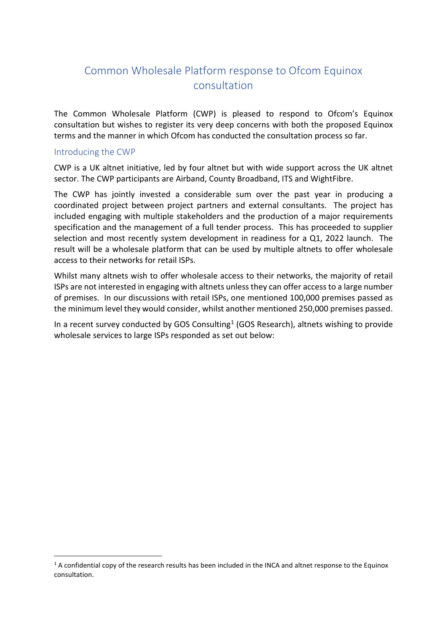# Common Wholesale Platform response to Ofcom Equinox consultation

The Common Wholesale Platform (CWP) is pleased to respond to Ofcom's Equinox consultation but wishes to register its very deep concerns with both the proposed Equinox terms and the manner in which Ofcom has conducted the consultation process so far.

#### Introducing the CWP

CWP is a UK altnet initiative, led by four altnet but with wide support across the UK altnet sector. The CWP participants are Airband, County Broadband, ITS and WightFibre.

The CWP has jointly invested a considerable sum over the past year in producing a coordinated project between project partners and external consultants. The project has included engaging with multiple stakeholders and the production of a major requirements specification and the management of a full tender process. This has proceeded to supplier selection and most recently system development in readiness for a Q1, 2022 launch. The result will be a wholesale platform that can be used by multiple altnets to offer wholesale access to their networks for retail ISPs.

Whilst many altnets wish to offer wholesale access to their networks, the majority of retail ISPs are not interested in engaging with altnets unless they can offer access to a large number of premises. In our discussions with retail ISPs, one mentioned 100,000 premises passed as the minimum level they would consider, whilst another mentioned 250,000 premises passed.

In a recent survey conducted by GOS Consulting<sup>[1](#page-0-0)</sup> (GOS Research), altnets wishing to provide wholesale services to large ISPs responded as set out below:

<span id="page-0-0"></span> $1$  A confidential copy of the research results has been included in the INCA and altnet response to the Equinox consultation.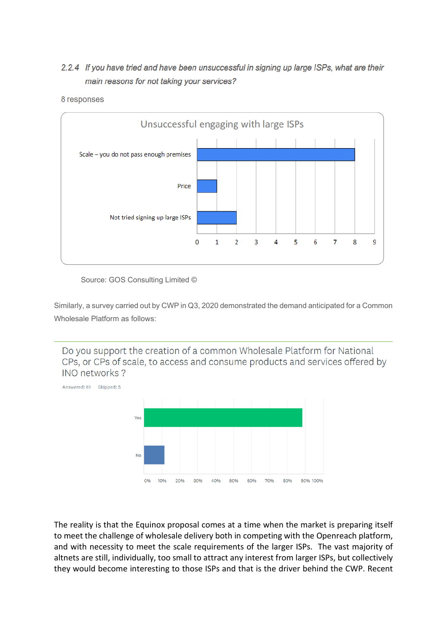### 2.2.4 If you have tried and have been unsuccessful in signing up large ISPs, what are their main reasons for not taking your services?



#### 8 responses

Source: GOS Consulting Limited ©

Similarly, a survey carried out by CWP in Q3, 2020 demonstrated the demand anticipated for a Common Wholesale Platform as follows:

Do you support the creation of a common Wholesale Platform for National CPs, or CPs of scale, to access and consume products and services offered by INO networks?



The reality is that the Equinox proposal comes at a time when the market is preparing itself to meet the challenge of wholesale delivery both in competing with the Openreach platform, and with necessity to meet the scale requirements of the larger ISPs. The vast majority of altnets are still, individually, too small to attract any interest from larger ISPs, but collectively they would become interesting to those ISPs and that is the driver behind the CWP. Recent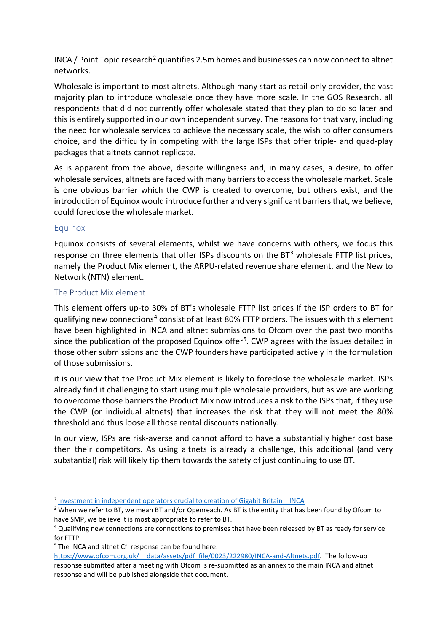$INCA$  / Point Topic research<sup>[2](#page-2-0)</sup> quantifies 2.5m homes and businesses can now connect to altnet networks.

Wholesale is important to most altnets. Although many start as retail-only provider, the vast majority plan to introduce wholesale once they have more scale. In the GOS Research, all respondents that did not currently offer wholesale stated that they plan to do so later and this is entirely supported in our own independent survey. The reasons for that vary, including the need for wholesale services to achieve the necessary scale, the wish to offer consumers choice, and the difficulty in competing with the large ISPs that offer triple- and quad-play packages that altnets cannot replicate.

As is apparent from the above, despite willingness and, in many cases, a desire, to offer wholesale services, altnets are faced with many barriers to access the wholesale market. Scale is one obvious barrier which the CWP is created to overcome, but others exist, and the introduction of Equinox would introduce further and very significant barriers that, we believe, could foreclose the wholesale market.

### Equinox

Equinox consists of several elements, whilst we have concerns with others, we focus this response on three elements that offer ISPs discounts on the  $BT^3$  $BT^3$  wholesale FTTP list prices, namely the Product Mix element, the ARPU-related revenue share element, and the New to Network (NTN) element.

#### The Product Mix element

This element offers up-to 30% of BT's wholesale FTTP list prices if the ISP orders to BT for gualifying new connections<sup>[4](#page-2-2)</sup> consist of at least 80% FTTP orders. The issues with this element have been highlighted in INCA and altnet submissions to Ofcom over the past two months since the publication of the proposed Equinox offer<sup>[5](#page-2-3)</sup>. CWP agrees with the issues detailed in those other submissions and the CWP founders have participated actively in the formulation of those submissions.

it is our view that the Product Mix element is likely to foreclose the wholesale market. ISPs already find it challenging to start using multiple wholesale providers, but as we are working to overcome those barriers the Product Mix now introduces a risk to the ISPs that, if they use the CWP (or individual altnets) that increases the risk that they will not meet the 80% threshold and thus loose all those rental discounts nationally.

In our view, ISPs are risk-averse and cannot afford to have a substantially higher cost base then their competitors. As using altnets is already a challenge, this additional (and very substantial) risk will likely tip them towards the safety of just continuing to use BT.

<span id="page-2-0"></span><sup>&</sup>lt;sup>2</sup> [Investment in independent operators crucial to creation of Gigabit Britain | INCA](https://www.inca.coop/news/point-topic-2021)

<span id="page-2-1"></span><sup>&</sup>lt;sup>3</sup> When we refer to BT, we mean BT and/or Openreach. As BT is the entity that has been found by Ofcom to have SMP, we believe it is most appropriate to refer to BT.

<span id="page-2-2"></span><sup>4</sup> Qualifying new connections are connections to premises that have been released by BT as ready for service for FTTP.

<span id="page-2-3"></span><sup>&</sup>lt;sup>5</sup> The INCA and altnet CfI response can be found here:

https://www.ofcom.org.uk/ data/assets/pdf file/0023/222980/INCA-and-Altnets.pdf. The follow-up response submitted after a meeting with Ofcom is re-submitted as an annex to the main INCA and altnet response and will be published alongside that document.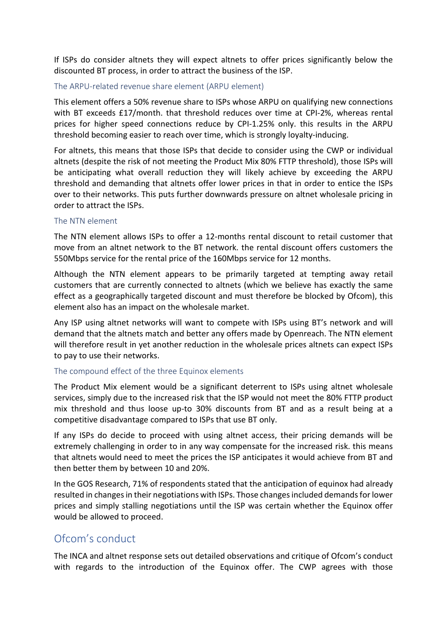If ISPs do consider altnets they will expect altnets to offer prices significantly below the discounted BT process, in order to attract the business of the ISP.

#### The ARPU-related revenue share element (ARPU element)

This element offers a 50% revenue share to ISPs whose ARPU on qualifying new connections with BT exceeds £17/month. that threshold reduces over time at CPI-2%, whereas rental prices for higher speed connections reduce by CPI-1.25% only. this results in the ARPU threshold becoming easier to reach over time, which is strongly loyalty-inducing.

For altnets, this means that those ISPs that decide to consider using the CWP or individual altnets (despite the risk of not meeting the Product Mix 80% FTTP threshold), those ISPs will be anticipating what overall reduction they will likely achieve by exceeding the ARPU threshold and demanding that altnets offer lower prices in that in order to entice the ISPs over to their networks. This puts further downwards pressure on altnet wholesale pricing in order to attract the ISPs.

#### The NTN element

The NTN element allows ISPs to offer a 12-months rental discount to retail customer that move from an altnet network to the BT network. the rental discount offers customers the 550Mbps service for the rental price of the 160Mbps service for 12 months.

Although the NTN element appears to be primarily targeted at tempting away retail customers that are currently connected to altnets (which we believe has exactly the same effect as a geographically targeted discount and must therefore be blocked by Ofcom), this element also has an impact on the wholesale market.

Any ISP using altnet networks will want to compete with ISPs using BT's network and will demand that the altnets match and better any offers made by Openreach. The NTN element will therefore result in yet another reduction in the wholesale prices altnets can expect ISPs to pay to use their networks.

### The compound effect of the three Equinox elements

The Product Mix element would be a significant deterrent to ISPs using altnet wholesale services, simply due to the increased risk that the ISP would not meet the 80% FTTP product mix threshold and thus loose up-to 30% discounts from BT and as a result being at a competitive disadvantage compared to ISPs that use BT only.

If any ISPs do decide to proceed with using altnet access, their pricing demands will be extremely challenging in order to in any way compensate for the increased risk. this means that altnets would need to meet the prices the ISP anticipates it would achieve from BT and then better them by between 10 and 20%.

In the GOS Research, 71% of respondents stated that the anticipation of equinox had already resulted in changes in their negotiations with ISPs. Those changes included demands for lower prices and simply stalling negotiations until the ISP was certain whether the Equinox offer would be allowed to proceed.

# Ofcom's conduct

The INCA and altnet response sets out detailed observations and critique of Ofcom's conduct with regards to the introduction of the Equinox offer. The CWP agrees with those